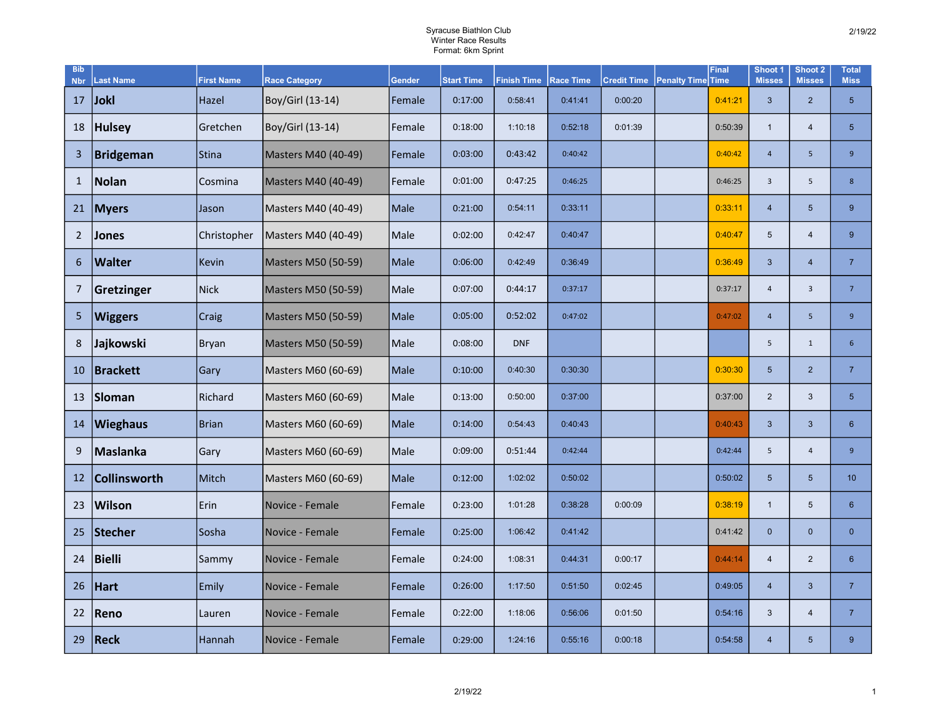## Syracuse Biathlon Club Winter Race Results Format: 6km Sprint

| <b>Bib</b><br><b>Nbr</b> | <b>Last Name</b>    | <b>First Name</b> | <b>Race Category</b> | <b>Gender</b> | <b>Start Time</b> | <b>Finish Time</b> | <b>Race Time</b> | <b>Credit Time</b> | <b>Penalty Time Time</b> | <b>Final</b> | Shoot <sub>1</sub><br><b>Misses</b> | Shoot 2<br><b>Misses</b> | <b>Total</b><br><b>Miss</b> |
|--------------------------|---------------------|-------------------|----------------------|---------------|-------------------|--------------------|------------------|--------------------|--------------------------|--------------|-------------------------------------|--------------------------|-----------------------------|
| 17                       | <b>Jokl</b>         | Hazel             | Boy/Girl (13-14)     | Female        | 0:17:00           | 0:58:41            | 0:41:41          | 0:00:20            |                          | 0:41:21      | $\mathbf{3}$                        | $\overline{2}$           | 5 <sup>5</sup>              |
| 18                       | <b>Hulsey</b>       | Gretchen          | Boy/Girl (13-14)     | Female        | 0:18:00           | 1:10:18            | 0:52:18          | 0:01:39            |                          | 0:50:39      | $\mathbf{1}$                        | $\overline{4}$           | 5 <sup>5</sup>              |
| 3                        | <b>Bridgeman</b>    | Stina             | Masters M40 (40-49)  | Female        | 0:03:00           | 0:43:42            | 0:40:42          |                    |                          | 0:40:42      | $\overline{4}$                      | 5                        | $\overline{9}$              |
| $\mathbf{1}$             | Nolan               | Cosmina           | Masters M40 (40-49)  | Female        | 0:01:00           | 0:47:25            | 0:46:25          |                    |                          | 0:46:25      | $\overline{3}$                      | 5                        | 8                           |
| 21                       | <b>Myers</b>        | Jason             | Masters M40 (40-49)  | Male          | 0:21:00           | 0:54:11            | 0:33:11          |                    |                          | 0:33:11      | $\overline{4}$                      | $\overline{5}$           | 9                           |
| $\overline{2}$           | Jones               | Christopher       | Masters M40 (40-49)  | Male          | 0:02:00           | 0:42:47            | 0:40:47          |                    |                          | 0:40:47      | 5                                   | $\overline{4}$           | 9                           |
| 6                        | <b>Walter</b>       | <b>Kevin</b>      | Masters M50 (50-59)  | Male          | 0:06:00           | 0:42:49            | 0:36:49          |                    |                          | 0:36:49      | 3                                   | $\overline{4}$           | $\overline{7}$              |
| 7                        | Gretzinger          | Nick              | Masters M50 (50-59)  | Male          | 0:07:00           | 0:44:17            | 0:37:17          |                    |                          | 0:37:17      | $\overline{4}$                      | $\mathbf{3}$             | $\overline{7}$              |
| 5                        | <b>Wiggers</b>      | Craig             | Masters M50 (50-59)  | Male          | 0:05:00           | 0:52:02            | 0:47:02          |                    |                          | 0:47:02      | $\overline{4}$                      | 5                        | $\overline{9}$              |
| 8                        | Jajkowski           | Bryan             | Masters M50 (50-59)  | Male          | 0:08:00           | <b>DNF</b>         |                  |                    |                          |              | 5                                   | $\mathbf{1}$             | 6 <sup>1</sup>              |
| 10                       | <b>Brackett</b>     | Gary              | Masters M60 (60-69)  | Male          | 0:10:00           | 0:40:30            | 0:30:30          |                    |                          | 0:30:30      | $5\phantom{.0}$                     | $\overline{2}$           | $\overline{7}$              |
| 13                       | Sloman              | Richard           | Masters M60 (60-69)  | Male          | 0:13:00           | 0:50:00            | 0:37:00          |                    |                          | 0:37:00      | 2                                   | 3                        | 5 <sup>5</sup>              |
| 14                       | <b>Wieghaus</b>     | <b>Brian</b>      | Masters M60 (60-69)  | Male          | 0:14:00           | 0:54:43            | 0:40:43          |                    |                          | 0:40:43      | $\mathbf{3}$                        | $\mathbf{3}$             | 6 <sup>1</sup>              |
| 9                        | Maslanka            | Gary              | Masters M60 (60-69)  | Male          | 0:09:00           | 0:51:44            | 0:42:44          |                    |                          | 0:42:44      | 5                                   | $\overline{4}$           | $\overline{9}$              |
| 12                       | <b>Collinsworth</b> | Mitch             | Masters M60 (60-69)  | Male          | 0:12:00           | 1:02:02            | 0:50:02          |                    |                          | 0:50:02      | $5\phantom{.}$                      | $5\phantom{.}$           | 10                          |
| 23                       | <b>Wilson</b>       | Erin              | Novice - Female      | Female        | 0:23:00           | 1:01:28            | 0:38:28          | 0:00:09            |                          | 0:38:19      | $\mathbf{1}$                        | 5                        | 6 <sup>°</sup>              |
| 25                       | Stecher             | Sosha             | Novice - Female      | Female        | 0:25:00           | 1:06:42            | 0:41:42          |                    |                          | 0:41:42      | $\mathbf 0$                         | $\mathbf 0$              | $\overline{0}$              |
| 24                       | <b>Bielli</b>       | Sammy             | Novice - Female      | Female        | 0:24:00           | 1:08:31            | 0:44:31          | 0:00:17            |                          | 0:44:14      | $\overline{4}$                      | $\overline{2}$           | 6 <sup>°</sup>              |
| 26                       | Hart                | Emily             | Novice - Female      | Female        | 0:26:00           | 1:17:50            | 0:51:50          | 0:02:45            |                          | 0:49:05      | $\overline{4}$                      | 3                        | $\overline{7}$              |
| 22                       | Reno                | Lauren            | Novice - Female      | Female        | 0:22:00           | 1:18:06            | 0:56:06          | 0:01:50            |                          | 0:54:16      | $\mathbf{3}$                        | $\overline{4}$           | $\overline{7}$              |
| 29                       | Reck                | Hannah            | Novice - Female      | Female        | 0:29:00           | 1:24:16            | 0:55:16          | 0:00:18            |                          | 0:54:58      | $\overline{4}$                      | 5                        | 9 <sup>°</sup>              |